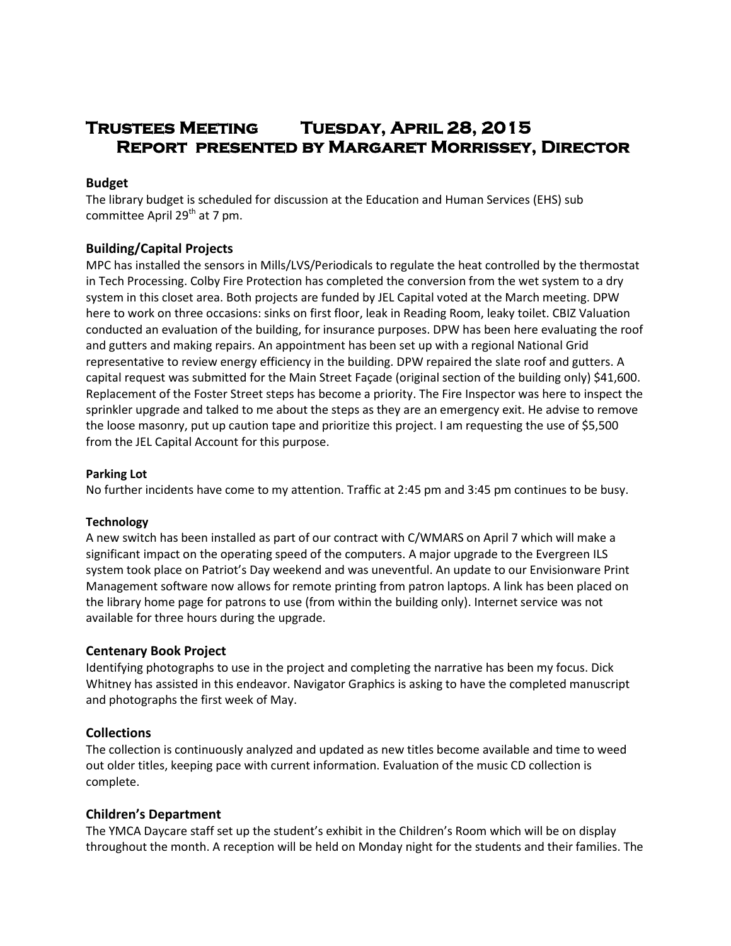# **Trustees Meeting Tuesday, April 28, 2015 Report presented by Margaret Morrissey, Director**

## **Budget**

The library budget is scheduled for discussion at the Education and Human Services (EHS) sub committee April  $29<sup>th</sup>$  at 7 pm.

# **Building/Capital Projects**

MPC has installed the sensors in Mills/LVS/Periodicals to regulate the heat controlled by the thermostat in Tech Processing. Colby Fire Protection has completed the conversion from the wet system to a dry system in this closet area. Both projects are funded by JEL Capital voted at the March meeting. DPW here to work on three occasions: sinks on first floor, leak in Reading Room, leaky toilet. CBIZ Valuation conducted an evaluation of the building, for insurance purposes. DPW has been here evaluating the roof and gutters and making repairs. An appointment has been set up with a regional National Grid representative to review energy efficiency in the building. DPW repaired the slate roof and gutters. A capital request was submitted for the Main Street Façade (original section of the building only) \$41,600. Replacement of the Foster Street steps has become a priority. The Fire Inspector was here to inspect the sprinkler upgrade and talked to me about the steps as they are an emergency exit. He advise to remove the loose masonry, put up caution tape and prioritize this project. I am requesting the use of \$5,500 from the JEL Capital Account for this purpose.

## **Parking Lot**

No further incidents have come to my attention. Traffic at 2:45 pm and 3:45 pm continues to be busy.

## **Technology**

A new switch has been installed as part of our contract with C/WMARS on April 7 which will make a significant impact on the operating speed of the computers. A major upgrade to the Evergreen ILS system took place on Patriot's Day weekend and was uneventful. An update to our Envisionware Print Management software now allows for remote printing from patron laptops. A link has been placed on the library home page for patrons to use (from within the building only). Internet service was not available for three hours during the upgrade.

# **Centenary Book Project**

Identifying photographs to use in the project and completing the narrative has been my focus. Dick Whitney has assisted in this endeavor. Navigator Graphics is asking to have the completed manuscript and photographs the first week of May.

# **Collections**

The collection is continuously analyzed and updated as new titles become available and time to weed out older titles, keeping pace with current information. Evaluation of the music CD collection is complete.

# **Children's Department**

The YMCA Daycare staff set up the student's exhibit in the Children's Room which will be on display throughout the month. A reception will be held on Monday night for the students and their families. The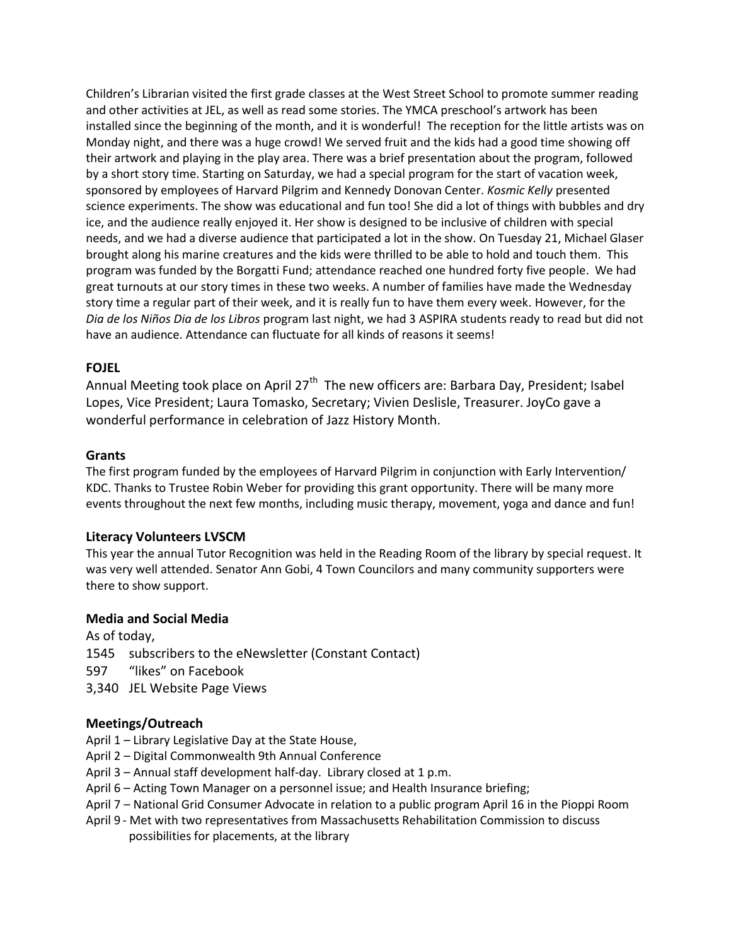Children's Librarian visited the first grade classes at the West Street School to promote summer reading and other activities at JEL, as well as read some stories. The YMCA preschool's artwork has been installed since the beginning of the month, and it is wonderful! The reception for the little artists was on Monday night, and there was a huge crowd! We served fruit and the kids had a good time showing off their artwork and playing in the play area. There was a brief presentation about the program, followed by a short story time. Starting on Saturday, we had a special program for the start of vacation week, sponsored by employees of Harvard Pilgrim and Kennedy Donovan Center. *Kosmic Kelly* presented science experiments. The show was educational and fun too! She did a lot of things with bubbles and dry ice, and the audience really enjoyed it. Her show is designed to be inclusive of children with special needs, and we had a diverse audience that participated a lot in the show. On Tuesday 21, Michael Glaser brought along his marine creatures and the kids were thrilled to be able to hold and touch them. This program was funded by the Borgatti Fund; attendance reached one hundred forty five people. We had great turnouts at our story times in these two weeks. A number of families have made the Wednesday story time a regular part of their week, and it is really fun to have them every week. However, for the *Dia de los Niños Dia de los Libros* program last night, we had 3 ASPIRA students ready to read but did not have an audience. Attendance can fluctuate for all kinds of reasons it seems!

# **FOJEL**

Annual Meeting took place on April 27<sup>th</sup> The new officers are: Barbara Day, President; Isabel Lopes, Vice President; Laura Tomasko, Secretary; Vivien Deslisle, Treasurer. JoyCo gave a wonderful performance in celebration of Jazz History Month.

## **Grants**

The first program funded by the employees of Harvard Pilgrim in conjunction with Early Intervention/ KDC. Thanks to Trustee Robin Weber for providing this grant opportunity. There will be many more events throughout the next few months, including music therapy, movement, yoga and dance and fun!

# **Literacy Volunteers LVSCM**

This year the annual Tutor Recognition was held in the Reading Room of the library by special request. It was very well attended. Senator Ann Gobi, 4 Town Councilors and many community supporters were there to show support.

## **Media and Social Media**

As of today,

- 1545 subscribers to the eNewsletter (Constant Contact)
- 597 "likes" on Facebook
- 3,340 JEL Website Page Views

# **Meetings/Outreach**

- April 1 Library Legislative Day at the State House,
- April 2 Digital Commonwealth 9th Annual Conference
- April 3 Annual staff development half-day. Library closed at 1 p.m.
- April 6 Acting Town Manager on a personnel issue; and Health Insurance briefing;
- April 7 National Grid Consumer Advocate in relation to a public program April 16 in the Pioppi Room
- April 9 Met with two representatives from Massachusetts Rehabilitation Commission to discuss possibilities for placements, at the library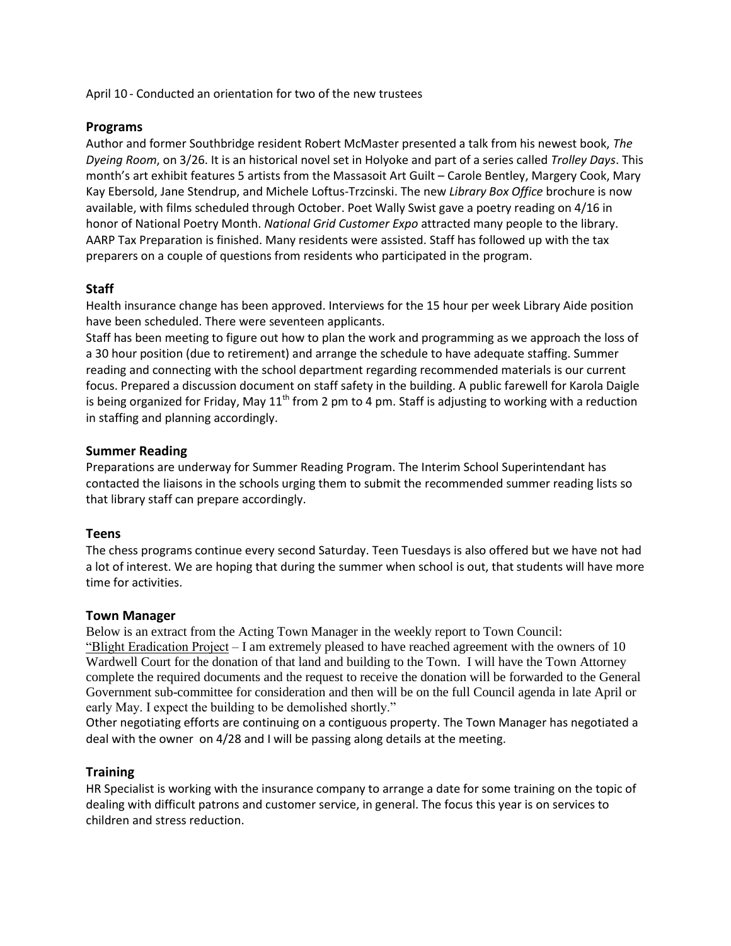April 10 - Conducted an orientation for two of the new trustees

## **Programs**

Author and former Southbridge resident Robert McMaster presented a talk from his newest book, *The Dyeing Room*, on 3/26. It is an historical novel set in Holyoke and part of a series called *Trolley Days*. This month's art exhibit features 5 artists from the Massasoit Art Guilt – Carole Bentley, Margery Cook, Mary Kay Ebersold, Jane Stendrup, and Michele Loftus-Trzcinski. The new *Library Box Office* brochure is now available, with films scheduled through October. Poet Wally Swist gave a poetry reading on 4/16 in honor of National Poetry Month. *National Grid Customer Expo* attracted many people to the library. AARP Tax Preparation is finished. Many residents were assisted. Staff has followed up with the tax preparers on a couple of questions from residents who participated in the program.

## **Staff**

Health insurance change has been approved. Interviews for the 15 hour per week Library Aide position have been scheduled. There were seventeen applicants.

Staff has been meeting to figure out how to plan the work and programming as we approach the loss of a 30 hour position (due to retirement) and arrange the schedule to have adequate staffing. Summer reading and connecting with the school department regarding recommended materials is our current focus. Prepared a discussion document on staff safety in the building. A public farewell for Karola Daigle is being organized for Friday, May  $11<sup>th</sup>$  from 2 pm to 4 pm. Staff is adjusting to working with a reduction in staffing and planning accordingly.

## **Summer Reading**

Preparations are underway for Summer Reading Program. The Interim School Superintendant has contacted the liaisons in the schools urging them to submit the recommended summer reading lists so that library staff can prepare accordingly.

## **Teens**

The chess programs continue every second Saturday. Teen Tuesdays is also offered but we have not had a lot of interest. We are hoping that during the summer when school is out, that students will have more time for activities.

## **Town Manager**

Below is an extract from the Acting Town Manager in the weekly report to Town Council: "Blight Eradication Project – I am extremely pleased to have reached agreement with the owners of 10 Wardwell Court for the donation of that land and building to the Town. I will have the Town Attorney complete the required documents and the request to receive the donation will be forwarded to the General Government sub-committee for consideration and then will be on the full Council agenda in late April or early May. I expect the building to be demolished shortly."

Other negotiating efforts are continuing on a contiguous property. The Town Manager has negotiated a deal with the owner on 4/28 and I will be passing along details at the meeting.

## **Training**

HR Specialist is working with the insurance company to arrange a date for some training on the topic of dealing with difficult patrons and customer service, in general. The focus this year is on services to children and stress reduction.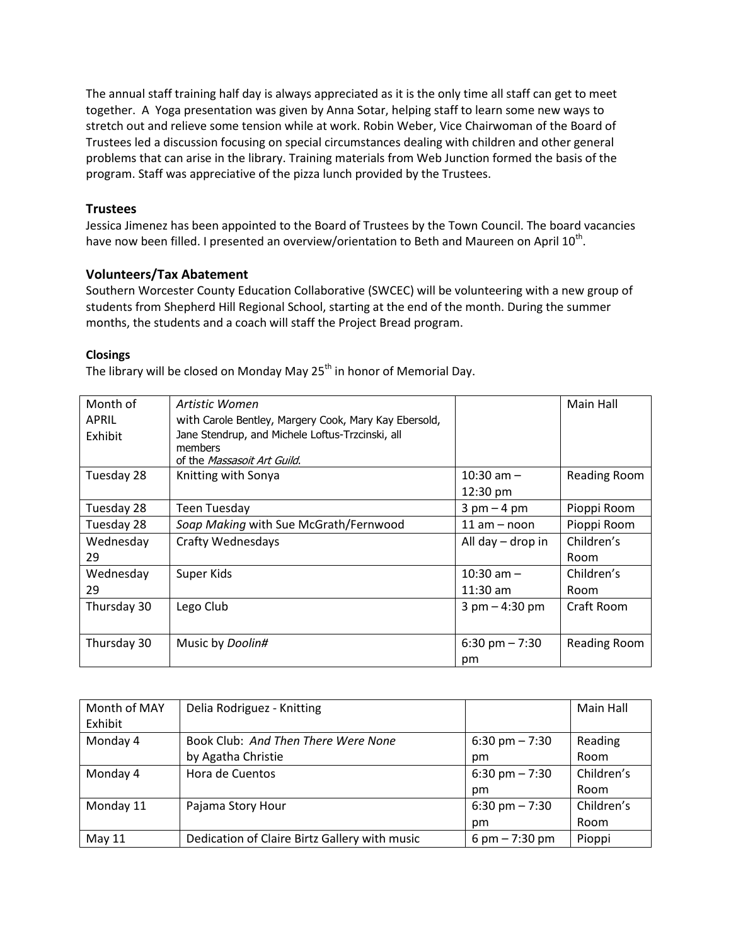The annual staff training half day is always appreciated as it is the only time all staff can get to meet together. A Yoga presentation was given by Anna Sotar, helping staff to learn some new ways to stretch out and relieve some tension while at work. Robin Weber, Vice Chairwoman of the Board of Trustees led a discussion focusing on special circumstances dealing with children and other general problems that can arise in the library. Training materials from Web Junction formed the basis of the program. Staff was appreciative of the pizza lunch provided by the Trustees.

## **Trustees**

Jessica Jimenez has been appointed to the Board of Trustees by the Town Council. The board vacancies have now been filled. I presented an overview/orientation to Beth and Maureen on April 10<sup>th</sup>.

## **Volunteers/Tax Abatement**

Southern Worcester County Education Collaborative (SWCEC) will be volunteering with a new group of students from Shepherd Hill Regional School, starting at the end of the month. During the summer months, the students and a coach will staff the Project Bread program.

## **Closings**

The library will be closed on Monday May  $25<sup>th</sup>$  in honor of Memorial Day.

| Month of     | Artistic Women                                        |                                  | Main Hall           |
|--------------|-------------------------------------------------------|----------------------------------|---------------------|
| <b>APRIL</b> | with Carole Bentley, Margery Cook, Mary Kay Ebersold, |                                  |                     |
| Exhibit      | Jane Stendrup, and Michele Loftus-Trzcinski, all      |                                  |                     |
|              | members<br>of the <i>Massasoit Art Guild.</i>         |                                  |                     |
| Tuesday 28   | Knitting with Sonya                                   | $10:30$ am $-$                   | <b>Reading Room</b> |
|              |                                                       | 12:30 pm                         |                     |
| Tuesday 28   | Teen Tuesday                                          | $3 \text{ pm} - 4 \text{ pm}$    | Pioppi Room         |
| Tuesday 28   | Soap Making with Sue McGrath/Fernwood                 | $11$ am $-$ noon                 | Pioppi Room         |
| Wednesday    | <b>Crafty Wednesdays</b>                              | All day - drop in                | Children's          |
| 29           |                                                       |                                  | Room                |
| Wednesday    | Super Kids                                            | $10:30$ am $-$                   | Children's          |
| 29           |                                                       | $11:30$ am                       | Room                |
| Thursday 30  | Lego Club                                             | $3 \text{ pm} - 4:30 \text{ pm}$ | Craft Room          |
|              |                                                       |                                  |                     |
| Thursday 30  | Music by Doolin#                                      | $6:30 \text{ pm} - 7:30$         | Reading Room        |
|              |                                                       | pm                               |                     |

| Month of MAY | Delia Rodriguez - Knitting                    |                          | Main Hall  |
|--------------|-----------------------------------------------|--------------------------|------------|
| Exhibit      |                                               |                          |            |
| Monday 4     | Book Club: And Then There Were None           | $6:30 \text{ pm} - 7:30$ | Reading    |
|              | by Agatha Christie                            | pm                       | Room       |
| Monday 4     | Hora de Cuentos                               | $6:30 \text{ pm} - 7:30$ | Children's |
|              |                                               | pm                       | Room       |
| Monday 11    | Pajama Story Hour                             | $6:30 \text{ pm} - 7:30$ | Children's |
|              |                                               | pm                       | Room       |
| May 11       | Dedication of Claire Birtz Gallery with music | 6 pm $- 7:30$ pm         | Pioppi     |